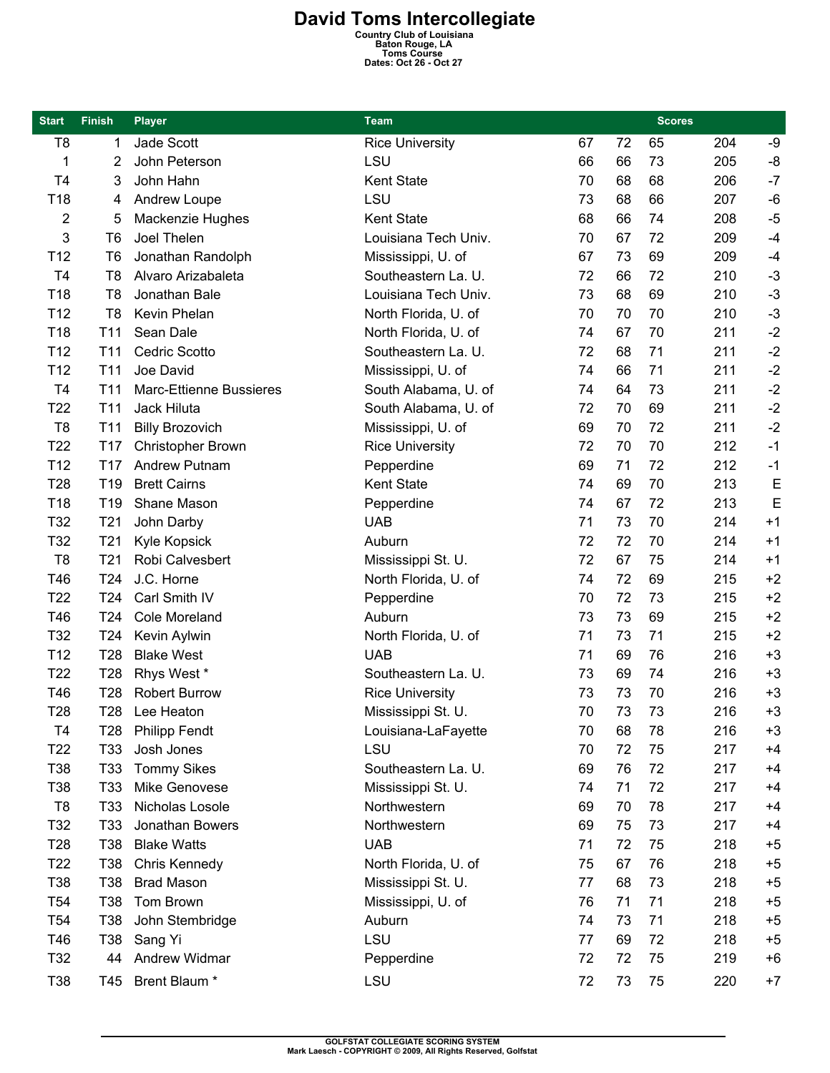## **David Toms Intercollegiate**<br>
Country Club of Louisiana<br>
Baton Rouge, LA<br>
Toms Course<br>
Dates: Oct 26 - Oct 27

| <b>Start</b>    | <b>Finish</b>   | <b>Player</b>           | Team                   |    |    | <b>Scores</b> |     |             |
|-----------------|-----------------|-------------------------|------------------------|----|----|---------------|-----|-------------|
| T <sub>8</sub>  | 1               | Jade Scott              | <b>Rice University</b> | 67 | 72 | 65            | 204 | -9          |
| 1               | 2               | John Peterson           | LSU                    | 66 | 66 | 73            | 205 | -8          |
| T <sub>4</sub>  | 3               | John Hahn               | Kent State             | 70 | 68 | 68            | 206 | $-7$        |
| T18             | 4               | Andrew Loupe            | LSU                    | 73 | 68 | 66            | 207 | $-6$        |
| 2               | 5               | Mackenzie Hughes        | <b>Kent State</b>      | 68 | 66 | 74            | 208 | $-5$        |
| 3               | T <sub>6</sub>  | Joel Thelen             | Louisiana Tech Univ.   | 70 | 67 | 72            | 209 | $-4$        |
| T <sub>12</sub> | T <sub>6</sub>  | Jonathan Randolph       | Mississippi, U. of     | 67 | 73 | 69            | 209 | $-4$        |
| T <sub>4</sub>  | T8              | Alvaro Arizabaleta      | Southeastern La. U.    | 72 | 66 | 72            | 210 | $-3$        |
| T18             | T8              | Jonathan Bale           | Louisiana Tech Univ.   | 73 | 68 | 69            | 210 | $-3$        |
| T <sub>12</sub> | T <sub>8</sub>  | Kevin Phelan            | North Florida, U. of   | 70 | 70 | 70            | 210 | $-3$        |
| T18             | T <sub>11</sub> | Sean Dale               | North Florida, U. of   | 74 | 67 | 70            | 211 | $-2$        |
| T <sub>12</sub> | T <sub>11</sub> | <b>Cedric Scotto</b>    | Southeastern La. U.    | 72 | 68 | 71            | 211 | $-2$        |
| T <sub>12</sub> | T11             | Joe David               | Mississippi, U. of     | 74 | 66 | 71            | 211 | $-2$        |
| T <sub>4</sub>  | T <sub>11</sub> | Marc-Ettienne Bussieres | South Alabama, U. of   | 74 | 64 | 73            | 211 | $-2$        |
| T <sub>22</sub> | T <sub>11</sub> | Jack Hiluta             | South Alabama, U. of   | 72 | 70 | 69            | 211 | $-2$        |
| T <sub>8</sub>  | T11             | <b>Billy Brozovich</b>  | Mississippi, U. of     | 69 | 70 | 72            | 211 | $-2$        |
| T <sub>22</sub> | T <sub>17</sub> | Christopher Brown       | <b>Rice University</b> | 72 | 70 | 70            | 212 | $-1$        |
| T <sub>12</sub> | T <sub>17</sub> | <b>Andrew Putnam</b>    | Pepperdine             | 69 | 71 | 72            | 212 | $-1$        |
| T <sub>28</sub> | T <sub>19</sub> | <b>Brett Cairns</b>     | Kent State             | 74 | 69 | 70            | 213 | E           |
| T18             | T <sub>19</sub> | Shane Mason             | Pepperdine             | 74 | 67 | 72            | 213 | $\mathsf E$ |
| T32             | T <sub>21</sub> | John Darby              | <b>UAB</b>             | 71 | 73 | 70            | 214 | $+1$        |
| T32             | T <sub>21</sub> | Kyle Kopsick            | Auburn                 | 72 | 72 | 70            | 214 | $+1$        |
| T <sub>8</sub>  | T <sub>21</sub> | Robi Calvesbert         | Mississippi St. U.     | 72 | 67 | 75            | 214 | $+1$        |
| T46             | T <sub>24</sub> | J.C. Horne              | North Florida, U. of   | 74 | 72 | 69            | 215 | $+2$        |
| T <sub>22</sub> | T <sub>24</sub> | Carl Smith IV           | Pepperdine             | 70 | 72 | 73            | 215 | $+2$        |
| T46             | T <sub>24</sub> | <b>Cole Moreland</b>    | Auburn                 | 73 | 73 | 69            | 215 | $+2$        |
| T32             | T <sub>24</sub> | Kevin Aylwin            | North Florida, U. of   | 71 | 73 | 71            | 215 | $+2$        |
| T <sub>12</sub> | T <sub>28</sub> | <b>Blake West</b>       | <b>UAB</b>             | 71 | 69 | 76            | 216 | $+3$        |
| T <sub>22</sub> | T <sub>28</sub> | Rhys West *             | Southeastern La. U.    | 73 | 69 | 74            | 216 | $+3$        |
| T46             | T <sub>28</sub> | <b>Robert Burrow</b>    | <b>Rice University</b> | 73 | 73 | 70            | 216 | $+3$        |
| T <sub>28</sub> | T <sub>28</sub> | Lee Heaton              | Mississippi St. U.     | 70 | 73 | 73            | 216 | $+3$        |
| T4              | T28             | <b>Philipp Fendt</b>    | Louisiana-LaFayette    | 70 | 68 | 78            | 216 | $+3$        |
| T <sub>22</sub> | T33             | Josh Jones              | LSU                    | 70 | 72 | 75            | 217 | $+4$        |
| T38             | T33             | <b>Tommy Sikes</b>      | Southeastern La. U.    | 69 | 76 | 72            | 217 | $+4$        |
| T38             | T33             | Mike Genovese           | Mississippi St. U.     | 74 | 71 | 72            | 217 | $+4$        |
| T8              | T <sub>33</sub> | Nicholas Losole         | Northwestern           | 69 | 70 | 78            | 217 | $+4$        |
| T32             | T33             | Jonathan Bowers         | Northwestern           | 69 | 75 | 73            | 217 | $+4$        |
| T <sub>28</sub> | T38             | <b>Blake Watts</b>      | <b>UAB</b>             | 71 | 72 | 75            | 218 | $+5$        |
| T <sub>22</sub> | T38             | Chris Kennedy           | North Florida, U. of   | 75 | 67 | 76            | 218 | $+5$        |
| T38             | T38             | <b>Brad Mason</b>       | Mississippi St. U.     | 77 | 68 | 73            | 218 | $+5$        |
| T <sub>54</sub> | T38             | Tom Brown               | Mississippi, U. of     | 76 | 71 | 71            | 218 | $+5$        |
| T <sub>54</sub> | T38             | John Stembridge         | Auburn                 | 74 | 73 | 71            | 218 | $+5$        |
| T46             | T38             | Sang Yi                 | LSU                    | 77 | 69 | 72            | 218 | $+5$        |
| T32             | 44              | Andrew Widmar           | Pepperdine             | 72 | 72 | 75            | 219 | $+6$        |
| T38             |                 | T45 Brent Blaum *       | LSU                    | 72 | 73 | 75            | 220 | $+7$        |